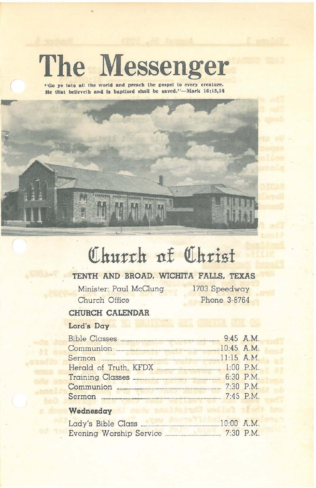# **The. Messenger**

**"Go ye Into all the world and preacb the gospel to every creature.** He that believeth and is baptized shall be saved."-Mark 16:15,16



# Church of Christ

# **TENTH AND BROAD. WICHITA FALLS. TEXAS**

Minister: Paul McClung Church Office

1703 Speedway Phone 3-8764

# **CHURCH CALENDAR**

# **Lord's Day**

| Communion <b>Executive Communist Communist Communist</b> | .10:45 A.M. |
|----------------------------------------------------------|-------------|
|                                                          |             |
|                                                          |             |
|                                                          |             |
|                                                          | 7:30 P.M.   |
|                                                          | 7:45 P.M.   |

## Wednesday **In the search of the United States**

| Lady's Bible Class      | $10:00$ A.M. |
|-------------------------|--------------|
| Evening Worship Service | $7:30$ P.M.  |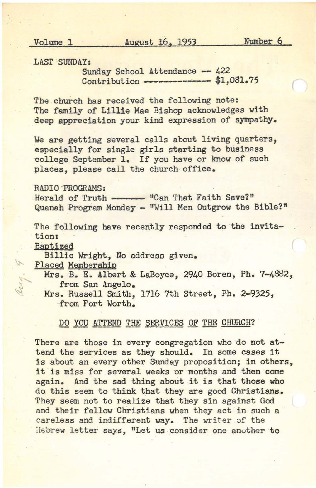Volume 1 August 16, 1953 Number 6

(

LAST SUNDAY:

Sunday School Attendance -- 422 Contribution ------------------ \$1,081.75

The church has received the following note: The family of Lillie Mae Bishop acknowledges with deep appreciation your kind expression of sympathy.

We are getting several calls about living quarters, especially for single girls starting to business college September 1. If you have or know of such places, please call the church office.

RADIO -PROGRAMS:

RADIO PROGRAMS:<br>Herald of Truth -------<br>Quanah Program Monday -"Can That Faith Save?" Quanah Program Monday - "Will Men Outgrow the Bible?"

The following have recently responded to the invitation:

Baptized

Billie Wright, No address given.

Placed Memberahip

Mrs. B. E. Albert & LaBoyce, 2940 Boren, Ph. 7-4882, from San Angelo.

Mrs. Russell Smith, 1716 7th Street, Ph. 2-9325, from Fort Worth.

### DO YOU ATTEND THE SERVICES OF THE CHURCH?

There are those in every congregation who do not attend the services as they should. In some cases it is about an every other Sunday proposition; in others, it is miss for several weeks or months and then come again. And the sad thing about it is that those who do this seem to think that they are good Christians. They seem not to realize that they sin against God and their fellow Christians when they act in such a careless and indifferent way. The writer of the Hebrew letter says, "Let us consider one another to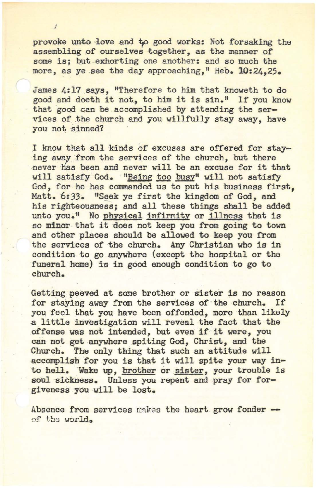provoke unto love and to good works: Not forsaking the assembling of ourselves together, as the manner of some is; but exhorting one another: and so much the more, as ye see the day approaching." Heb. 10:24.25.

f

James 4:17 says, "Therefore to him that knoweth to do good and doeth it not, to him it is sin." If you know that good can be accomplished by attending the services of the church and you willfully stay away, have you not sinned?

I know that all kinds of excuses are offered for staying away from the services of the church, but there never has been and never will be an excuse for it that will satisfy God. "Being too busy" will not satisfy God, for he has commanded us to put his business first, Matt. 6:33. "Seek ye first the kingdom of God, and his righteousness; and all these things shall be added unto you." No physical infirmity or illness that is so minor that it does not keep you from going to town and other places should be allowed to keep you from the services of the church. Any Christian who is in condition to go anywhere (except the hospital or the funeral home) is in good enough condition to go to church.

Getting peeved at some brother or sister is no reason<br>for staving away from the services of the church. If for staying away from the services of the church. you feel that you have been offended, more than likely a little investigation will reveal the fact that the offense was not intended, but even if it were, you can not get anywhere spiting God, Christ, and the Church. The only thing that such an attitude will accomplish for you is that it will spite your way into hell. Wake up, brother or sister, your trouble is soul sickness. Unless you repent and pray for forgiveness you will be lost.

Absence from services makes the heart grow fonder of the world.